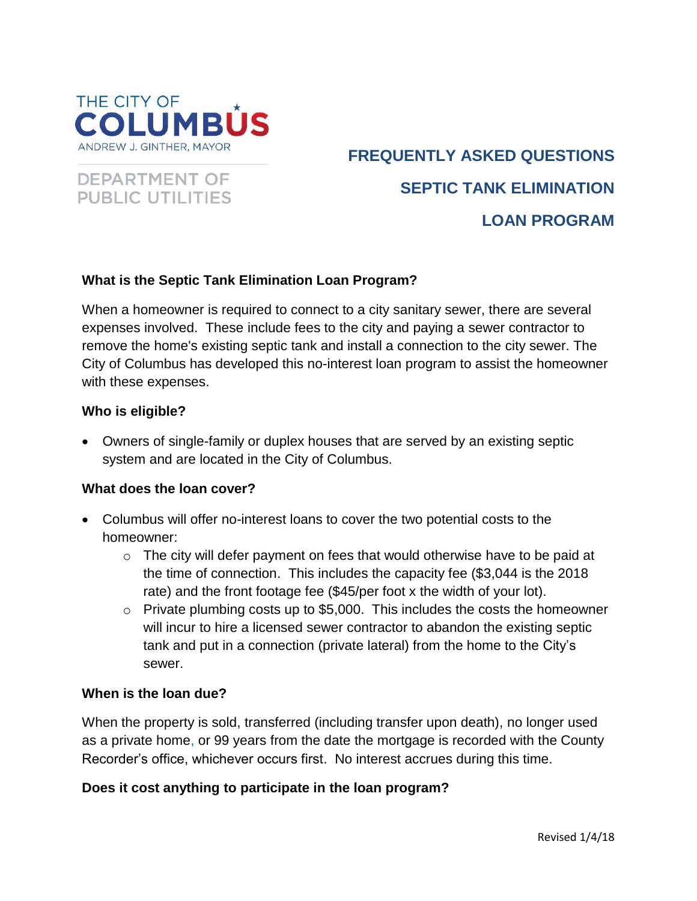



# **FREQUENTLY ASKED QUESTIONS SEPTIC TANK ELIMINATION LOAN PROGRAM**

## **What is the Septic Tank Elimination Loan Program?**

When a homeowner is required to connect to a city sanitary sewer, there are several expenses involved. These include fees to the city and paying a sewer contractor to remove the home's existing septic tank and install a connection to the city sewer. The City of Columbus has developed this no-interest loan program to assist the homeowner with these expenses.

#### **Who is eligible?**

 Owners of single-family or duplex houses that are served by an existing septic system and are located in the City of Columbus.

#### **What does the loan cover?**

- Columbus will offer no-interest loans to cover the two potential costs to the homeowner:
	- $\circ$  The city will defer payment on fees that would otherwise have to be paid at the time of connection. This includes the capacity fee (\$3,044 is the 2018 rate) and the front footage fee (\$45/per foot x the width of your lot).
	- $\circ$  Private plumbing costs up to \$5,000. This includes the costs the homeowner will incur to hire a licensed sewer contractor to abandon the existing septic tank and put in a connection (private lateral) from the home to the City's sewer.

#### **When is the loan due?**

When the property is sold, transferred (including transfer upon death), no longer used as a private home, or 99 years from the date the mortgage is recorded with the County Recorder's office, whichever occurs first. No interest accrues during this time.

#### **Does it cost anything to participate in the loan program?**